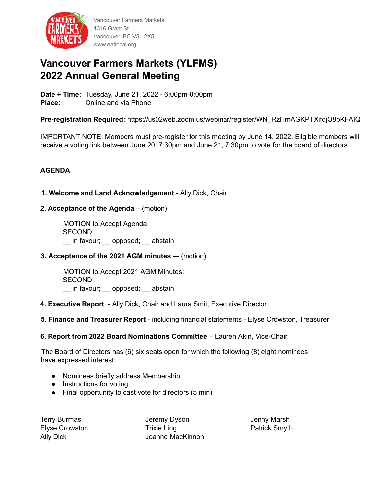

Vancouver Farmers Markets 1316 Grant St Vancouver, BC V5L 2X5 www.eatlocal.org

# **Vancouver Farmers Markets (YLFMS) 2022 Annual General Meeting**

**Date + Time:** Tuesday, June 21, 2022 - 6:00pm-8:00pm **Place:** Online and via Phone

**Pre-registration Required:** https://us02web.zoom.us/webinar/register/WN\_RzHmAGKPTXifqjO8pKFAIQ

IMPORTANT NOTE: Members must pre-register for this meeting by June 14, 2022. Eligible members will receive a voting link between June 20, 7:30pm and June 21, 7:30pm to vote for the board of directors.

# **AGENDA**

## **1. Welcome and Land Acknowledgement** - Ally Dick, Chair

**2. Acceptance of the Agenda** – (motion)

MOTION to Accept Agenda: SECOND: in favour; opposed; abstain

#### **3. Acceptance of the 2021 AGM minutes** -– (motion)

MOTION to Accept 2021 AGM Minutes: SECOND: in favour; \_\_ opposed; \_\_ abstain

#### **4. Executive Report** - Ally Dick, Chair and Laura Smit, Executive Director

**5. Finance and Treasurer Report** - including financial statements - Elyse Crowston, Treasurer

#### **6. Report from 2022 Board Nominations Committee** – Lauren Akin, Vice-Chair

The Board of Directors has (6) six seats open for which the following (8) eight nominees have expressed interest:

- Nominees briefly address Membership
- **●** Instructions for voting
- Final opportunity to cast vote for directors (5 min)

Terry Burmas Elyse Crowston Ally Dick

Jeremy Dyson Trixie Ling Joanne MacKinnon Jenny Marsh Patrick Smyth